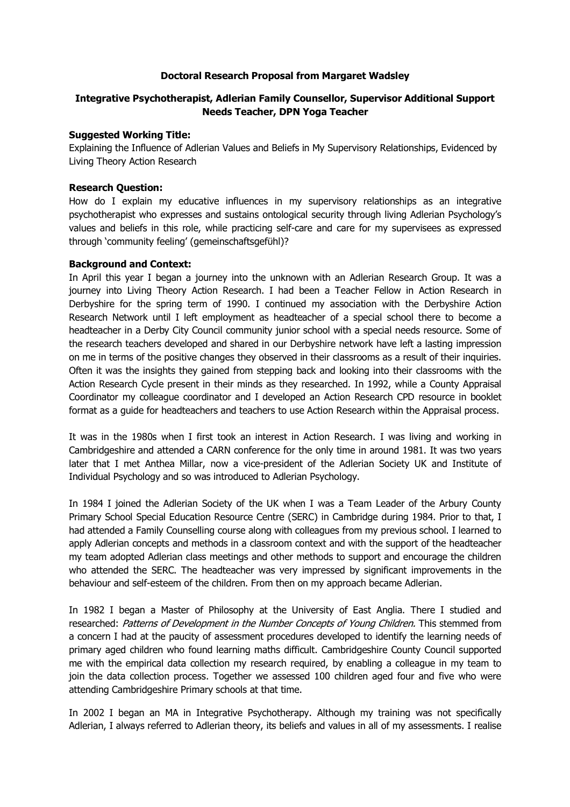## **Doctoral Research Proposal from Margaret Wadsley**

# **Integrative Psychotherapist, Adlerian Family Counsellor, Supervisor Additional Support Needs Teacher, DPN Yoga Teacher**

## **Suggested Working Title:**

Explaining the Influence of Adlerian Values and Beliefs in My Supervisory Relationships, Evidenced by Living Theory Action Research

## **Research Question:**

How do I explain my educative influences in my supervisory relationships as an integrative psychotherapist who expresses and sustains ontological security through living Adlerian Psychology's values and beliefs in this role, while practicing self-care and care for my supervisees as expressed through 'community feeling' (gemeinschaftsgefϋhl)?

## **Background and Context:**

In April this year I began a journey into the unknown with an Adlerian Research Group. It was a journey into Living Theory Action Research. I had been a Teacher Fellow in Action Research in Derbyshire for the spring term of 1990. I continued my association with the Derbyshire Action Research Network until I left employment as headteacher of a special school there to become a headteacher in a Derby City Council community junior school with a special needs resource. Some of the research teachers developed and shared in our Derbyshire network have left a lasting impression on me in terms of the positive changes they observed in their classrooms as a result of their inquiries. Often it was the insights they gained from stepping back and looking into their classrooms with the Action Research Cycle present in their minds as they researched. In 1992, while a County Appraisal Coordinator my colleague coordinator and I developed an Action Research CPD resource in booklet format as a guide for headteachers and teachers to use Action Research within the Appraisal process.

It was in the 1980s when I first took an interest in Action Research. I was living and working in Cambridgeshire and attended a CARN conference for the only time in around 1981. It was two years later that I met Anthea Millar, now a vice-president of the Adlerian Society UK and Institute of Individual Psychology and so was introduced to Adlerian Psychology.

In 1984 I joined the Adlerian Society of the UK when I was a Team Leader of the Arbury County Primary School Special Education Resource Centre (SERC) in Cambridge during 1984. Prior to that, I had attended a Family Counselling course along with colleagues from my previous school. I learned to apply Adlerian concepts and methods in a classroom context and with the support of the headteacher my team adopted Adlerian class meetings and other methods to support and encourage the children who attended the SERC. The headteacher was very impressed by significant improvements in the behaviour and self-esteem of the children. From then on my approach became Adlerian.

In 1982 I began a Master of Philosophy at the University of East Anglia. There I studied and researched: Patterns of Development in the Number Concepts of Young Children. This stemmed from a concern I had at the paucity of assessment procedures developed to identify the learning needs of primary aged children who found learning maths difficult. Cambridgeshire County Council supported me with the empirical data collection my research required, by enabling a colleague in my team to join the data collection process. Together we assessed 100 children aged four and five who were attending Cambridgeshire Primary schools at that time.

In 2002 I began an MA in Integrative Psychotherapy. Although my training was not specifically Adlerian, I always referred to Adlerian theory, its beliefs and values in all of my assessments. I realise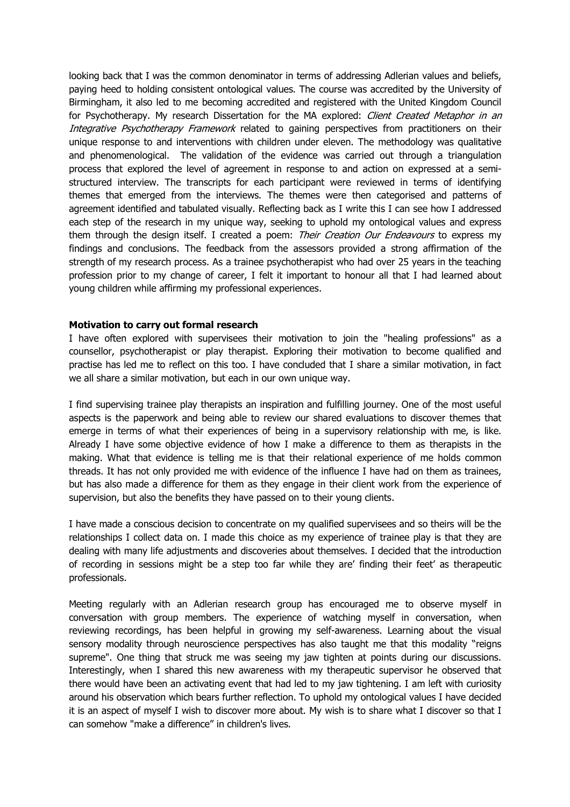looking back that I was the common denominator in terms of addressing Adlerian values and beliefs, paying heed to holding consistent ontological values. The course was accredited by the University of Birmingham, it also led to me becoming accredited and registered with the United Kingdom Council for Psychotherapy. My research Dissertation for the MA explored: Client Created Metaphor in an Integrative Psychotherapy Framework related to gaining perspectives from practitioners on their unique response to and interventions with children under eleven. The methodology was qualitative and phenomenological. The validation of the evidence was carried out through a triangulation process that explored the level of agreement in response to and action on expressed at a semistructured interview. The transcripts for each participant were reviewed in terms of identifying themes that emerged from the interviews. The themes were then categorised and patterns of agreement identified and tabulated visually. Reflecting back as I write this I can see how I addressed each step of the research in my unique way, seeking to uphold my ontological values and express them through the design itself. I created a poem: Their Creation Our Endeavours to express my findings and conclusions. The feedback from the assessors provided a strong affirmation of the strength of my research process. As a trainee psychotherapist who had over 25 years in the teaching profession prior to my change of career, I felt it important to honour all that I had learned about young children while affirming my professional experiences.

#### **Motivation to carry out formal research**

I have often explored with supervisees their motivation to join the "healing professions" as a counsellor, psychotherapist or play therapist. Exploring their motivation to become qualified and practise has led me to reflect on this too. I have concluded that I share a similar motivation, in fact we all share a similar motivation, but each in our own unique way.

I find supervising trainee play therapists an inspiration and fulfilling journey. One of the most useful aspects is the paperwork and being able to review our shared evaluations to discover themes that emerge in terms of what their experiences of being in a supervisory relationship with me, is like. Already I have some objective evidence of how I make a difference to them as therapists in the making. What that evidence is telling me is that their relational experience of me holds common threads. It has not only provided me with evidence of the influence I have had on them as trainees, but has also made a difference for them as they engage in their client work from the experience of supervision, but also the benefits they have passed on to their young clients.

I have made a conscious decision to concentrate on my qualified supervisees and so theirs will be the relationships I collect data on. I made this choice as my experience of trainee play is that they are dealing with many life adjustments and discoveries about themselves. I decided that the introduction of recording in sessions might be a step too far while they are' finding their feet' as therapeutic professionals.

Meeting regularly with an Adlerian research group has encouraged me to observe myself in conversation with group members. The experience of watching myself in conversation, when reviewing recordings, has been helpful in growing my self-awareness. Learning about the visual sensory modality through neuroscience perspectives has also taught me that this modality "reigns supreme". One thing that struck me was seeing my jaw tighten at points during our discussions. Interestingly, when I shared this new awareness with my therapeutic supervisor he observed that there would have been an activating event that had led to my jaw tightening. I am left with curiosity around his observation which bears further reflection. To uphold my ontological values I have decided it is an aspect of myself I wish to discover more about. My wish is to share what I discover so that I can somehow "make a difference" in children's lives.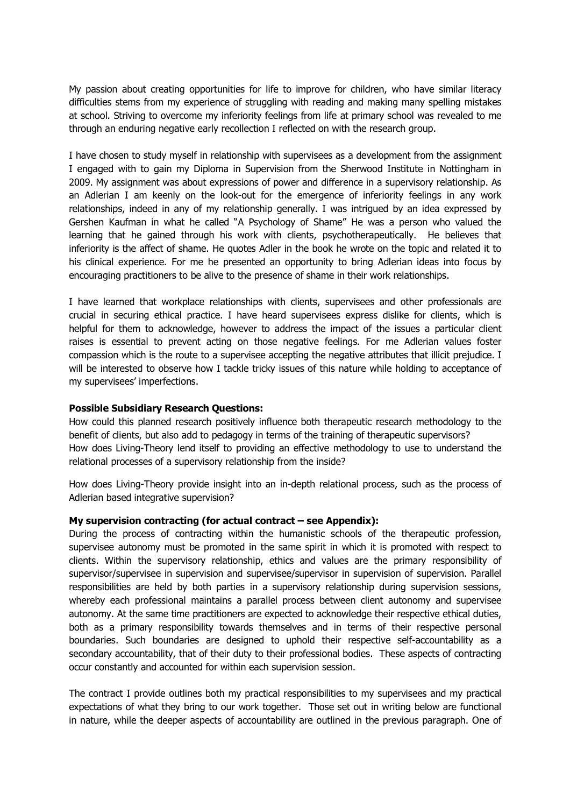My passion about creating opportunities for life to improve for children, who have similar literacy difficulties stems from my experience of struggling with reading and making many spelling mistakes at school. Striving to overcome my inferiority feelings from life at primary school was revealed to me through an enduring negative early recollection I reflected on with the research group.

I have chosen to study myself in relationship with supervisees as a development from the assignment I engaged with to gain my Diploma in Supervision from the Sherwood Institute in Nottingham in 2009. My assignment was about expressions of power and difference in a supervisory relationship. As an Adlerian I am keenly on the look-out for the emergence of inferiority feelings in any work relationships, indeed in any of my relationship generally. I was intrigued by an idea expressed by Gershen Kaufman in what he called "A Psychology of Shame" He was a person who valued the learning that he gained through his work with clients, psychotherapeutically. He believes that inferiority is the affect of shame. He quotes Adler in the book he wrote on the topic and related it to his clinical experience. For me he presented an opportunity to bring Adlerian ideas into focus by encouraging practitioners to be alive to the presence of shame in their work relationships.

I have learned that workplace relationships with clients, supervisees and other professionals are crucial in securing ethical practice. I have heard supervisees express dislike for clients, which is helpful for them to acknowledge, however to address the impact of the issues a particular client raises is essential to prevent acting on those negative feelings. For me Adlerian values foster compassion which is the route to a supervisee accepting the negative attributes that illicit prejudice. I will be interested to observe how I tackle tricky issues of this nature while holding to acceptance of my supervisees' imperfections.

#### **Possible Subsidiary Research Questions:**

How could this planned research positively influence both therapeutic research methodology to the benefit of clients, but also add to pedagogy in terms of the training of therapeutic supervisors? How does Living-Theory lend itself to providing an effective methodology to use to understand the relational processes of a supervisory relationship from the inside?

How does Living-Theory provide insight into an in-depth relational process, such as the process of Adlerian based integrative supervision?

#### **My supervision contracting (for actual contract – see Appendix):**

During the process of contracting within the humanistic schools of the therapeutic profession, supervisee autonomy must be promoted in the same spirit in which it is promoted with respect to clients. Within the supervisory relationship, ethics and values are the primary responsibility of supervisor/supervisee in supervision and supervisee/supervisor in supervision of supervision. Parallel responsibilities are held by both parties in a supervisory relationship during supervision sessions, whereby each professional maintains a parallel process between client autonomy and supervisee autonomy. At the same time practitioners are expected to acknowledge their respective ethical duties, both as a primary responsibility towards themselves and in terms of their respective personal boundaries. Such boundaries are designed to uphold their respective self-accountability as a secondary accountability, that of their duty to their professional bodies. These aspects of contracting occur constantly and accounted for within each supervision session.

The contract I provide outlines both my practical responsibilities to my supervisees and my practical expectations of what they bring to our work together. Those set out in writing below are functional in nature, while the deeper aspects of accountability are outlined in the previous paragraph. One of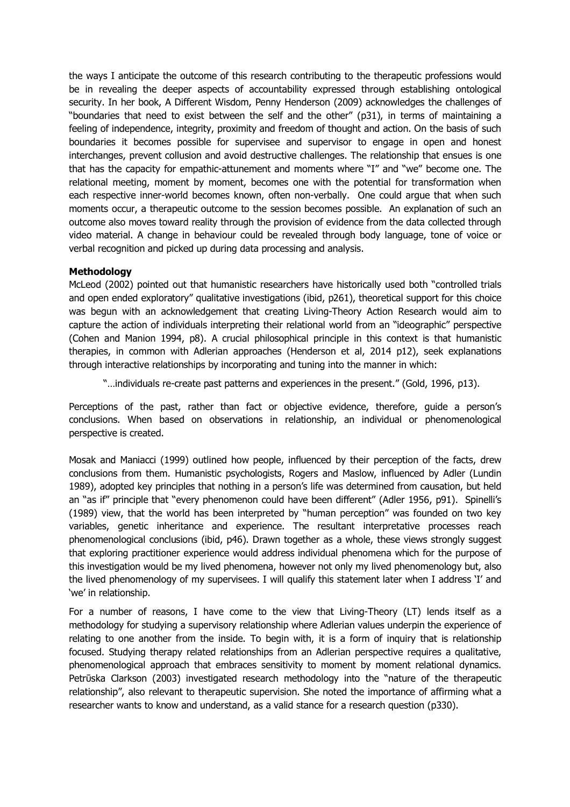the ways I anticipate the outcome of this research contributing to the therapeutic professions would be in revealing the deeper aspects of accountability expressed through establishing ontological security. In her book, A Different Wisdom, Penny Henderson (2009) acknowledges the challenges of "boundaries that need to exist between the self and the other" (p31), in terms of maintaining a feeling of independence, integrity, proximity and freedom of thought and action. On the basis of such boundaries it becomes possible for supervisee and supervisor to engage in open and honest interchanges, prevent collusion and avoid destructive challenges. The relationship that ensues is one that has the capacity for empathic-attunement and moments where "I" and "we" become one. The relational meeting, moment by moment, becomes one with the potential for transformation when each respective inner-world becomes known, often non-verbally. One could argue that when such moments occur, a therapeutic outcome to the session becomes possible. An explanation of such an outcome also moves toward reality through the provision of evidence from the data collected through video material. A change in behaviour could be revealed through body language, tone of voice or verbal recognition and picked up during data processing and analysis.

#### **Methodology**

McLeod (2002) pointed out that humanistic researchers have historically used both "controlled trials and open ended exploratory" qualitative investigations (ibid, p261), theoretical support for this choice was begun with an acknowledgement that creating Living-Theory Action Research would aim to capture the action of individuals interpreting their relational world from an "ideographic" perspective (Cohen and Manion 1994, p8). A crucial philosophical principle in this context is that humanistic therapies, in common with Adlerian approaches (Henderson et al, 2014 p12), seek explanations through interactive relationships by incorporating and tuning into the manner in which:

"…individuals re-create past patterns and experiences in the present." (Gold, 1996, p13).

Perceptions of the past, rather than fact or objective evidence, therefore, guide a person's conclusions. When based on observations in relationship, an individual or phenomenological perspective is created.

Mosak and Maniacci (1999) outlined how people, influenced by their perception of the facts, drew conclusions from them. Humanistic psychologists, Rogers and Maslow, influenced by Adler (Lundin 1989), adopted key principles that nothing in a person's life was determined from causation, but held an "as if" principle that "every phenomenon could have been different" (Adler 1956, p91). Spinelli's (1989) view, that the world has been interpreted by "human perception" was founded on two key variables, genetic inheritance and experience. The resultant interpretative processes reach phenomenological conclusions (ibid, p46). Drawn together as a whole, these views strongly suggest that exploring practitioner experience would address individual phenomena which for the purpose of this investigation would be my lived phenomena, however not only my lived phenomenology but, also the lived phenomenology of my supervisees. I will qualify this statement later when I address 'I' and 'we' in relationship.

For a number of reasons, I have come to the view that Living-Theory (LT) lends itself as a methodology for studying a supervisory relationship where Adlerian values underpin the experience of relating to one another from the inside. To begin with, it is a form of inquiry that is relationship focused. Studying therapy related relationships from an Adlerian perspective requires a qualitative, phenomenological approach that embraces sensitivity to moment by moment relational dynamics. Petrūska Clarkson (2003) investigated research methodology into the "nature of the therapeutic relationship", also relevant to therapeutic supervision. She noted the importance of affirming what a researcher wants to know and understand, as a valid stance for a research question (p330).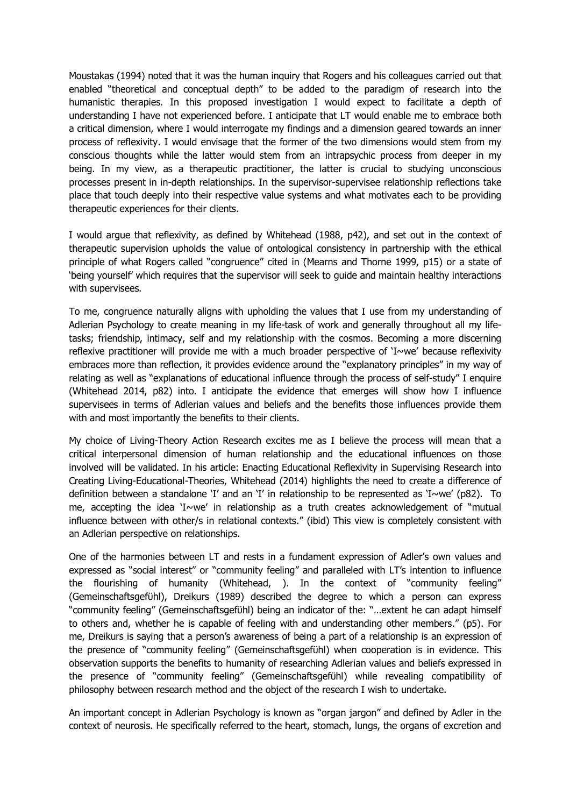Moustakas (1994) noted that it was the human inquiry that Rogers and his colleagues carried out that enabled "theoretical and conceptual depth" to be added to the paradigm of research into the humanistic therapies. In this proposed investigation I would expect to facilitate a depth of understanding I have not experienced before. I anticipate that LT would enable me to embrace both a critical dimension, where I would interrogate my findings and a dimension geared towards an inner process of reflexivity. I would envisage that the former of the two dimensions would stem from my conscious thoughts while the latter would stem from an intrapsychic process from deeper in my being. In my view, as a therapeutic practitioner, the latter is crucial to studying unconscious processes present in in-depth relationships. In the supervisor-supervisee relationship reflections take place that touch deeply into their respective value systems and what motivates each to be providing therapeutic experiences for their clients.

I would argue that reflexivity, as defined by Whitehead (1988, p42), and set out in the context of therapeutic supervision upholds the value of ontological consistency in partnership with the ethical principle of what Rogers called "congruence" cited in (Mearns and Thorne 1999, p15) or a state of 'being yourself' which requires that the supervisor will seek to guide and maintain healthy interactions with supervisees.

To me, congruence naturally aligns with upholding the values that I use from my understanding of Adlerian Psychology to create meaning in my life-task of work and generally throughout all my lifetasks; friendship, intimacy, self and my relationship with the cosmos. Becoming a more discerning reflexive practitioner will provide me with a much broader perspective of 'I~we' because reflexivity embraces more than reflection, it provides evidence around the "explanatory principles" in my way of relating as well as "explanations of educational influence through the process of self-study" I enquire (Whitehead 2014, p82) into. I anticipate the evidence that emerges will show how I influence supervisees in terms of Adlerian values and beliefs and the benefits those influences provide them with and most importantly the benefits to their clients.

My choice of Living-Theory Action Research excites me as I believe the process will mean that a critical interpersonal dimension of human relationship and the educational influences on those involved will be validated. In his article: Enacting Educational Reflexivity in Supervising Research into Creating Living-Educational-Theories, Whitehead (2014) highlights the need to create a difference of definition between a standalone 'I' and an 'I' in relationship to be represented as 'I~we' (p82). To me, accepting the idea 'I~we' in relationship as a truth creates acknowledgement of "mutual influence between with other/s in relational contexts." (ibid) This view is completely consistent with an Adlerian perspective on relationships.

One of the harmonies between LT and rests in a fundament expression of Adler's own values and expressed as "social interest" or "community feeling" and paralleled with LT's intention to influence the flourishing of humanity (Whitehead, ). In the context of "community feeling" (Gemeinschaftsgefϋhl), Dreikurs (1989) described the degree to which a person can express "community feeling" (Gemeinschaftsgefϋhl) being an indicator of the: "…extent he can adapt himself to others and, whether he is capable of feeling with and understanding other members." (p5). For me, Dreikurs is saying that a person's awareness of being a part of a relationship is an expression of the presence of "community feeling" (Gemeinschaftsgefϋhl) when cooperation is in evidence. This observation supports the benefits to humanity of researching Adlerian values and beliefs expressed in the presence of "community feeling" (Gemeinschaftsgefϋhl) while revealing compatibility of philosophy between research method and the object of the research I wish to undertake.

An important concept in Adlerian Psychology is known as "organ jargon" and defined by Adler in the context of neurosis. He specifically referred to the heart, stomach, lungs, the organs of excretion and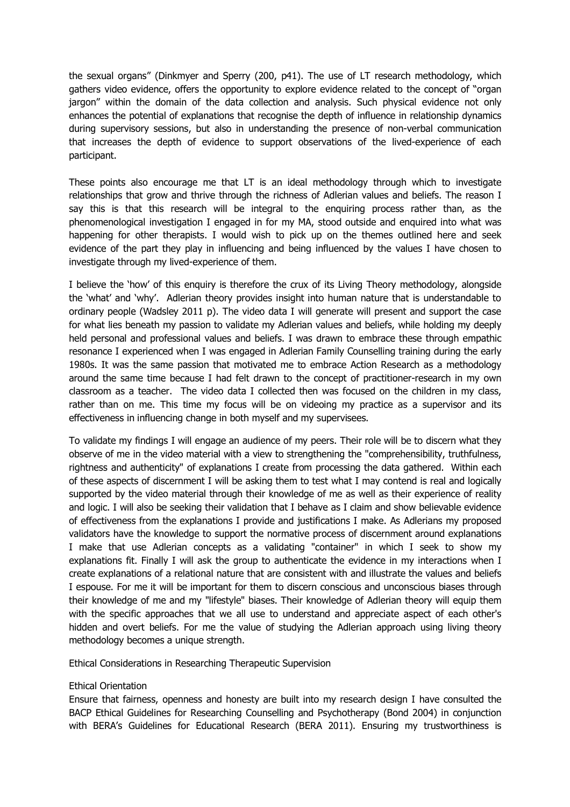the sexual organs" (Dinkmyer and Sperry (200, p41). The use of LT research methodology, which gathers video evidence, offers the opportunity to explore evidence related to the concept of "organ jargon" within the domain of the data collection and analysis. Such physical evidence not only enhances the potential of explanations that recognise the depth of influence in relationship dynamics during supervisory sessions, but also in understanding the presence of non-verbal communication that increases the depth of evidence to support observations of the lived-experience of each participant.

These points also encourage me that LT is an ideal methodology through which to investigate relationships that grow and thrive through the richness of Adlerian values and beliefs. The reason I say this is that this research will be integral to the enquiring process rather than, as the phenomenological investigation I engaged in for my MA, stood outside and enquired into what was happening for other therapists. I would wish to pick up on the themes outlined here and seek evidence of the part they play in influencing and being influenced by the values I have chosen to investigate through my lived-experience of them.

I believe the 'how' of this enquiry is therefore the crux of its Living Theory methodology, alongside the 'what' and 'why'. Adlerian theory provides insight into human nature that is understandable to ordinary people (Wadsley 2011 p). The video data I will generate will present and support the case for what lies beneath my passion to validate my Adlerian values and beliefs, while holding my deeply held personal and professional values and beliefs. I was drawn to embrace these through empathic resonance I experienced when I was engaged in Adlerian Family Counselling training during the early 1980s. It was the same passion that motivated me to embrace Action Research as a methodology around the same time because I had felt drawn to the concept of practitioner-research in my own classroom as a teacher. The video data I collected then was focused on the children in my class, rather than on me. This time my focus will be on videoing my practice as a supervisor and its effectiveness in influencing change in both myself and my supervisees.

To validate my findings I will engage an audience of my peers. Their role will be to discern what they observe of me in the video material with a view to strengthening the "comprehensibility, truthfulness, rightness and authenticity" of explanations I create from processing the data gathered. Within each of these aspects of discernment I will be asking them to test what I may contend is real and logically supported by the video material through their knowledge of me as well as their experience of reality and logic. I will also be seeking their validation that I behave as I claim and show believable evidence of effectiveness from the explanations I provide and justifications I make. As Adlerians my proposed validators have the knowledge to support the normative process of discernment around explanations I make that use Adlerian concepts as a validating "container" in which I seek to show my explanations fit. Finally I will ask the group to authenticate the evidence in my interactions when I create explanations of a relational nature that are consistent with and illustrate the values and beliefs I espouse. For me it will be important for them to discern conscious and unconscious biases through their knowledge of me and my "lifestyle" biases. Their knowledge of Adlerian theory will equip them with the specific approaches that we all use to understand and appreciate aspect of each other's hidden and overt beliefs. For me the value of studying the Adlerian approach using living theory methodology becomes a unique strength.

Ethical Considerations in Researching Therapeutic Supervision

#### Ethical Orientation

Ensure that fairness, openness and honesty are built into my research design I have consulted the BACP Ethical Guidelines for Researching Counselling and Psychotherapy (Bond 2004) in conjunction with BERA's Guidelines for Educational Research (BERA 2011). Ensuring my trustworthiness is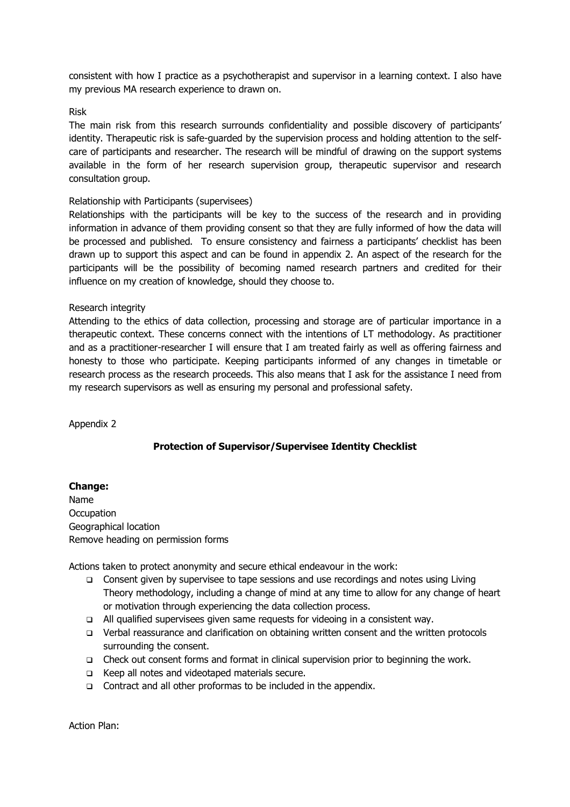consistent with how I practice as a psychotherapist and supervisor in a learning context. I also have my previous MA research experience to drawn on.

#### Risk

The main risk from this research surrounds confidentiality and possible discovery of participants' identity. Therapeutic risk is safe-guarded by the supervision process and holding attention to the selfcare of participants and researcher. The research will be mindful of drawing on the support systems available in the form of her research supervision group, therapeutic supervisor and research consultation group.

## Relationship with Participants (supervisees)

Relationships with the participants will be key to the success of the research and in providing information in advance of them providing consent so that they are fully informed of how the data will be processed and published. To ensure consistency and fairness a participants' checklist has been drawn up to support this aspect and can be found in appendix 2. An aspect of the research for the participants will be the possibility of becoming named research partners and credited for their influence on my creation of knowledge, should they choose to.

## Research integrity

Attending to the ethics of data collection, processing and storage are of particular importance in a therapeutic context. These concerns connect with the intentions of LT methodology. As practitioner and as a practitioner-researcher I will ensure that I am treated fairly as well as offering fairness and honesty to those who participate. Keeping participants informed of any changes in timetable or research process as the research proceeds. This also means that I ask for the assistance I need from my research supervisors as well as ensuring my personal and professional safety.

Appendix 2

# **Protection of Supervisor/Supervisee Identity Checklist**

#### **Change:**

Name **Occupation** Geographical location Remove heading on permission forms

Actions taken to protect anonymity and secure ethical endeavour in the work:

- q Consent given by supervisee to tape sessions and use recordings and notes using Living Theory methodology, including a change of mind at any time to allow for any change of heart or motivation through experiencing the data collection process.
- q All qualified supervisees given same requests for videoing in a consistent way.
- q Verbal reassurance and clarification on obtaining written consent and the written protocols surrounding the consent.
- q Check out consent forms and format in clinical supervision prior to beginning the work.
- q Keep all notes and videotaped materials secure.
- □ Contract and all other proformas to be included in the appendix.

Action Plan: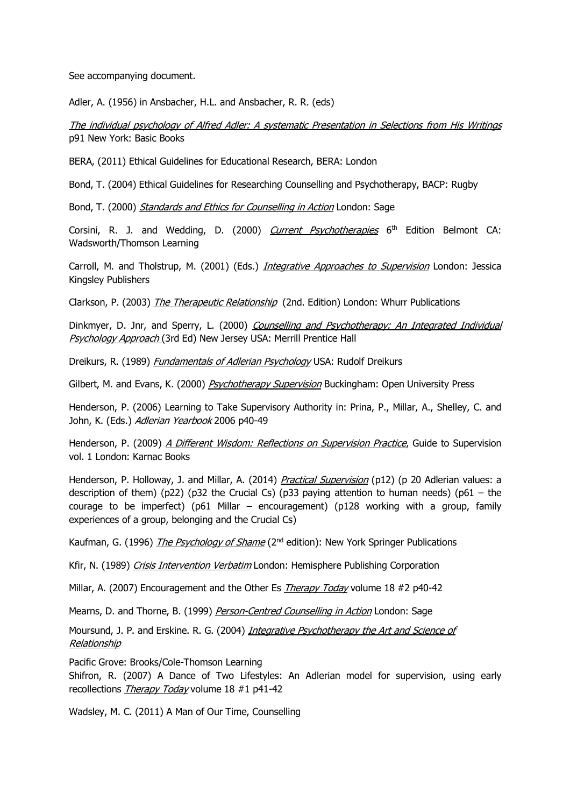See accompanying document.

Adler, A. (1956) in Ansbacher, H.L. and Ansbacher, R. R. (eds)

The individual psychology of Alfred Adler: A systematic Presentation in Selections from His Writings p91 New York: Basic Books

BERA, (2011) Ethical Guidelines for Educational Research, BERA: London

Bond, T. (2004) Ethical Guidelines for Researching Counselling and Psychotherapy, BACP: Rugby

Bond, T. (2000) Standards and Ethics for Counselling in Action London: Sage

Corsini, R. J. and Wedding, D. (2000) *Current Psychotherapies*  $6<sup>th</sup>$  Edition Belmont CA: Wadsworth/Thomson Learning

Carroll, M. and Tholstrup, M. (2001) (Eds.) *Integrative Approaches to Supervision* London: Jessica Kingsley Publishers

Clarkson, P. (2003) *The Therapeutic Relationship* (2nd. Edition) London: Whurr Publications

Dinkmyer, D. Jnr, and Sperry, L. (2000) Counselling and Psychotherapy: An Integrated Individual Psychology Approach (3rd Ed) New Jersey USA: Merrill Prentice Hall

Dreikurs, R. (1989) *Fundamentals of Adlerian Psychology* USA: Rudolf Dreikurs

Gilbert, M. and Evans, K. (2000) *Psychotherapy Supervision* Buckingham: Open University Press

Henderson, P. (2006) Learning to Take Supervisory Authority in: Prina, P., Millar, A., Shelley, C. and John, K. (Eds.) Adlerian Yearbook 2006 p40-49

Henderson, P. (2009) A Different Wisdom: Reflections on Supervision Practice, Guide to Supervision vol. 1 London: Karnac Books

Henderson, P. Holloway, J. and Millar, A. (2014) Practical Supervision (p12) (p 20 Adlerian values: a description of them) ( $p22$ ) ( $p32$  the Crucial Cs) ( $p33$  paying attention to human needs) ( $p61 -$  the courage to be imperfect) (p61 Millar – encouragement) (p128 working with a group, family experiences of a group, belonging and the Crucial Cs)

Kaufman, G. (1996) The Psychology of Shame (2<sup>nd</sup> edition): New York Springer Publications

Kfir, N. (1989) Crisis Intervention Verbatim London: Hemisphere Publishing Corporation

Millar, A. (2007) Encouragement and the Other Es Therapy Today volume 18 #2 p40-42

Mearns, D. and Thorne, B. (1999) Person-Centred Counselling in Action London: Sage

Moursund, J. P. and Erskine. R. G. (2004) *Integrative Psychotherapy the Art and Science of* **Relationship** 

Pacific Grove: Brooks/Cole-Thomson Learning

Shifron, R. (2007) A Dance of Two Lifestyles: An Adlerian model for supervision, using early recollections Therapy Today volume 18 #1 p41-42

Wadsley, M. C. (2011) A Man of Our Time, Counselling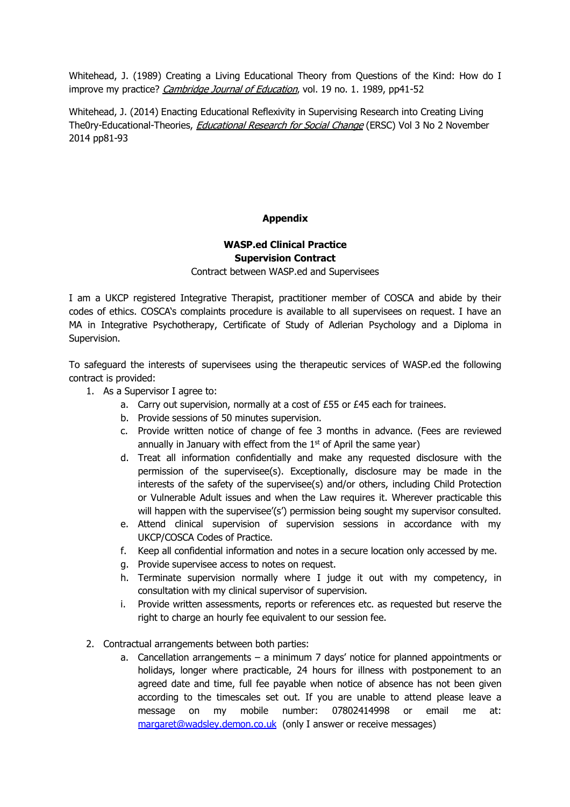Whitehead, J. (1989) Creating a Living Educational Theory from Questions of the Kind: How do I improve my practice? Cambridge Journal of Education, vol. 19 no. 1. 1989, pp41-52

Whitehead, J. (2014) Enacting Educational Reflexivity in Supervising Research into Creating Living The0ry-Educational-Theories, *Educational Research for Social Change* (ERSC) Vol 3 No 2 November 2014 pp81-93

## **Appendix**

# **WASP.ed Clinical Practice Supervision Contract**

Contract between WASP.ed and Supervisees

I am a UKCP registered Integrative Therapist, practitioner member of COSCA and abide by their codes of ethics. COSCA's complaints procedure is available to all supervisees on request. I have an MA in Integrative Psychotherapy, Certificate of Study of Adlerian Psychology and a Diploma in Supervision.

To safeguard the interests of supervisees using the therapeutic services of WASP.ed the following contract is provided:

- 1. As a Supervisor I agree to:
	- a. Carry out supervision, normally at a cost of £55 or £45 each for trainees.
	- b. Provide sessions of 50 minutes supervision.
	- c. Provide written notice of change of fee 3 months in advance. (Fees are reviewed annually in January with effect from the  $1<sup>st</sup>$  of April the same year)
	- d. Treat all information confidentially and make any requested disclosure with the permission of the supervisee(s). Exceptionally, disclosure may be made in the interests of the safety of the supervisee(s) and/or others, including Child Protection or Vulnerable Adult issues and when the Law requires it. Wherever practicable this will happen with the supervisee'(s') permission being sought my supervisor consulted.
	- e. Attend clinical supervision of supervision sessions in accordance with my UKCP/COSCA Codes of Practice.
	- f. Keep all confidential information and notes in a secure location only accessed by me.
	- g. Provide supervisee access to notes on request.
	- h. Terminate supervision normally where I judge it out with my competency, in consultation with my clinical supervisor of supervision.
	- i. Provide written assessments, reports or references etc. as requested but reserve the right to charge an hourly fee equivalent to our session fee.
- 2. Contractual arrangements between both parties:
	- a. Cancellation arrangements a minimum 7 days' notice for planned appointments or holidays, longer where practicable, 24 hours for illness with postponement to an agreed date and time, full fee payable when notice of absence has not been given according to the timescales set out. If you are unable to attend please leave a message on my mobile number: 07802414998 or email me at: margaret@wadsley.demon.co.uk (only I answer or receive messages)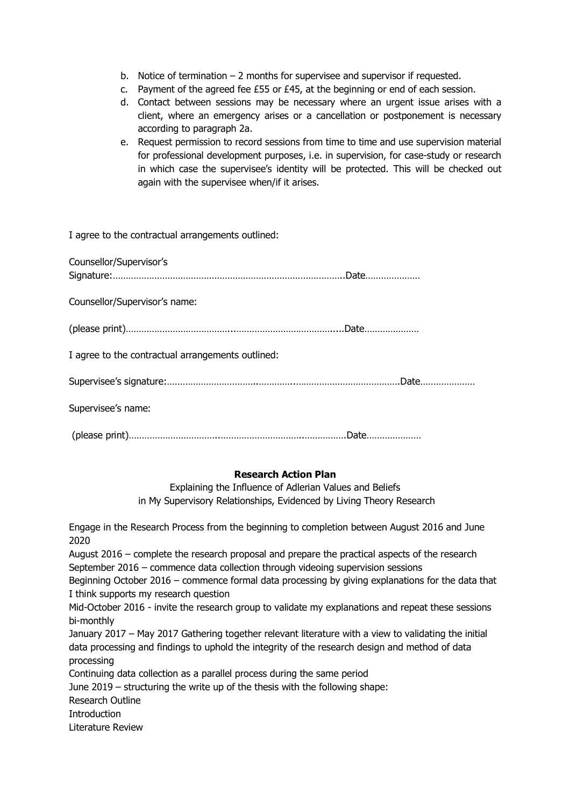- b. Notice of termination 2 months for supervisee and supervisor if requested.
- c. Payment of the agreed fee £55 or £45, at the beginning or end of each session.
- d. Contact between sessions may be necessary where an urgent issue arises with a client, where an emergency arises or a cancellation or postponement is necessary according to paragraph 2a.
- e. Request permission to record sessions from time to time and use supervision material for professional development purposes, i.e. in supervision, for case-study or research in which case the supervisee's identity will be protected. This will be checked out again with the supervisee when/if it arises.

I agree to the contractual arrangements outlined:

| Counsellor/Supervisor's                           |  |
|---------------------------------------------------|--|
| Counsellor/Supervisor's name:                     |  |
|                                                   |  |
| I agree to the contractual arrangements outlined: |  |
|                                                   |  |
| Supervisee's name:                                |  |
|                                                   |  |

#### **Research Action Plan**

Explaining the Influence of Adlerian Values and Beliefs in My Supervisory Relationships, Evidenced by Living Theory Research

Engage in the Research Process from the beginning to completion between August 2016 and June 2020

August 2016 – complete the research proposal and prepare the practical aspects of the research September 2016 – commence data collection through videoing supervision sessions

Beginning October 2016 – commence formal data processing by giving explanations for the data that I think supports my research question

Mid-October 2016 - invite the research group to validate my explanations and repeat these sessions bi-monthly

January 2017 – May 2017 Gathering together relevant literature with a view to validating the initial data processing and findings to uphold the integrity of the research design and method of data processing

Continuing data collection as a parallel process during the same period

June 2019 – structuring the write up of the thesis with the following shape:

Research Outline

**Introduction** 

Literature Review